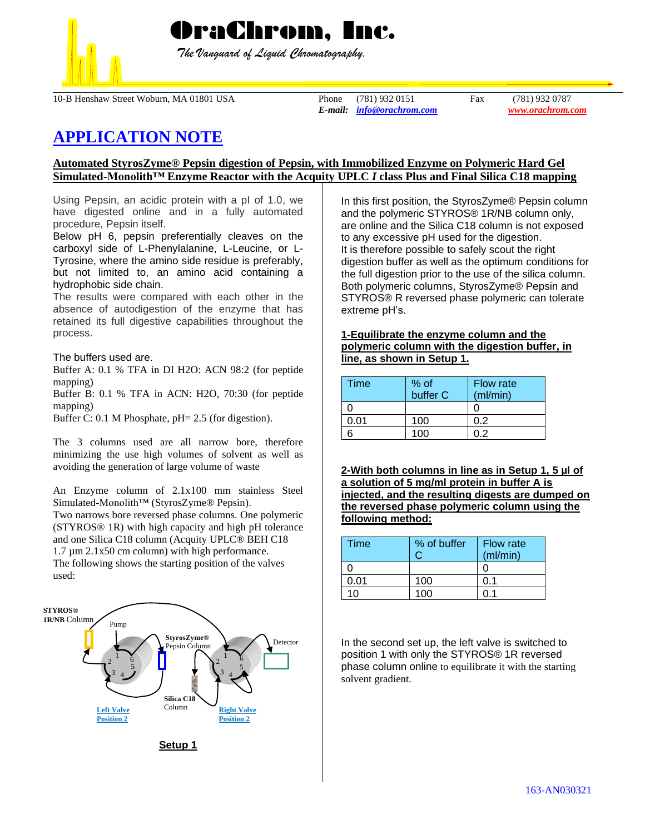

 *The Vanguard of Liquid Chromatography.*

10-B Henshaw Street Woburn, MA 01801 USA Phone (781) 932 0151 Fax (781) 932 0787

*E-mail: [info@orachrom.com](mailto:info@orachrom.com) www.orachrom.com*

# **APPLICATION NOTE**

# **Automated StyrosZyme® Pepsin digestion of Pepsin, with Immobilized Enzyme on Polymeric Hard Gel Simulated-Monolith™ Enzyme Reactor with the Acquity UPLC** *I* **class Plus and Final Silica C18 mapping**

Using Pepsin, an acidic protein with a pI of 1.0, we have digested online and in a fully automated procedure, Pepsin itself.

Below pH 6, pepsin preferentially cleaves on the carboxyl side of L-Phenylalanine, L-Leucine, or L-Tyrosine, where the amino side residue is preferably, but not limited to, an amino acid containing a hydrophobic side chain.

The results were compared with each other in the absence of autodigestion of the enzyme that has retained its full digestive capabilities throughout the process.

The buffers used are.

Buffer A: 0.1 % TFA in DI H2O: ACN 98:2 (for peptide mapping)

Buffer B: 0.1 % TFA in ACN: H2O, 70:30 (for peptide mapping)

Buffer C: 0.1 M Phosphate, pH= 2.5 (for digestion).

The 3 columns used are all narrow bore, therefore minimizing the use high volumes of solvent as well as avoiding the generation of large volume of waste

An Enzyme column of 2.1x100 mm stainless Steel Simulated-Monolith™ (StyrosZyme® Pepsin). Two narrows bore reversed phase columns. One polymeric

(STYROS® 1R) with high capacity and high pH tolerance and one Silica C18 column (Acquity UPLC® BEH C18

1.7 µm 2.1x50 cm column) with high performance.

The following shows the starting position of the valves used:



**Setup 1**

In this first position, the StyrosZyme® Pepsin column and the polymeric STYROS® 1R/NB column only, are online and the Silica C18 column is not exposed to any excessive pH used for the digestion. It is therefore possible to safely scout the right digestion buffer as well as the optimum conditions for the full digestion prior to the use of the silica column. Both polymeric columns, StyrosZyme® Pepsin and STYROS® R reversed phase polymeric can tolerate extreme pH's.

**1-Equilibrate the enzyme column and the polymeric column with the digestion buffer, in line, as shown in Setup 1.**

| Time | % of<br>buffer C | <b>Flow rate</b><br>(ml/min) |
|------|------------------|------------------------------|
|      |                  |                              |
| ን.01 | 100              | 0 2                          |
|      | 1ሰበ              | ነ 2                          |

**2-With both columns in line as in Setup 1, 5 µl of a solution of 5 mg/ml protein in buffer A is injected, and the resulting digests are dumped on the reversed phase polymeric column using the following method:**

| Time | % of buffer<br>C | <b>Flow rate</b><br>(ml/min) |
|------|------------------|------------------------------|
|      |                  |                              |
| 0.01 | 100              | በ 1                          |
| 10   | 100              |                              |

In the second set up, the left valve is switched to position 1 with only the STYROS® 1R reversed phase column online to equilibrate it with the starting solvent gradient.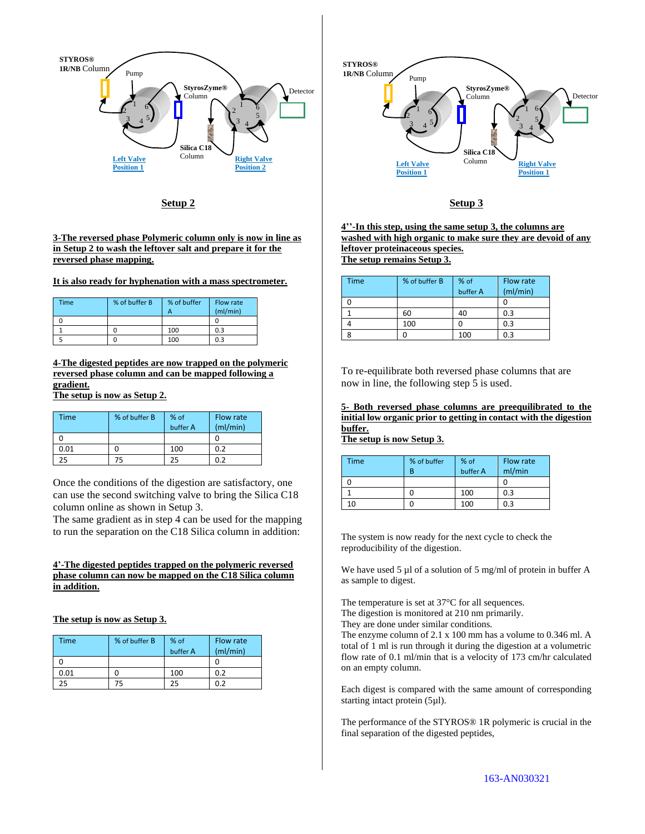

**Setup 2**

#### **3-The reversed phase Polymeric column only is now in line as in Setup 2 to wash the leftover salt and prepare it for the reversed phase mapping.**

**It is also ready for hyphenation with a mass spectrometer.** 

| Time | % of buffer B | % of buffer<br>А | Flow rate<br>(mI/min) |
|------|---------------|------------------|-----------------------|
|      |               |                  |                       |
|      |               | 100              | 0.3                   |
|      |               | 100              | 0.3                   |

**4-The digested peptides are now trapped on the polymeric reversed phase column and can be mapped following a gradient.**

**The setup is now as Setup 2.**

| Time | % of buffer B | % of<br>buffer A | Flow rate<br>(mI/min) |
|------|---------------|------------------|-----------------------|
|      |               |                  |                       |
| 0.01 |               | 100              | 0.2                   |
| 25   | 75            | 25               | 0.2                   |

Once the conditions of the digestion are satisfactory, one can use the second switching valve to bring the Silica C18 column online as shown in Setup 3.

The same gradient as in step 4 can be used for the mapping to run the separation on the C18 Silica column in addition:

## **4'-The digested peptides trapped on the polymeric reversed phase column can now be mapped on the C18 Silica column in addition.**

**The setup is now as Setup 3.**

| Time | % of buffer B | $%$ of<br>buffer A | Flow rate<br>(mI/min) |
|------|---------------|--------------------|-----------------------|
|      |               |                    |                       |
| 0.01 |               | 100                | 0.2                   |
| 25   | 75            | 25                 | ባ ጋ                   |



## **Setup 3**

**4''-In this step, using the same setup 3, the columns are washed with high organic to make sure they are devoid of any leftover proteinaceous species. The setup remains Setup 3.**

| Time | % of buffer B | % of<br>buffer A | Flow rate<br>(mI/min) |
|------|---------------|------------------|-----------------------|
|      |               |                  |                       |
|      | 60            | 40               | 0.3                   |
|      | 100           |                  | 0.3                   |
|      |               | 100              | 0.3                   |

To re-equilibrate both reversed phase columns that are now in line, the following step 5 is used.

**5- Both reversed phase columns are preequilibrated to the initial low organic prior to getting in contact with the digestion buffer.** 

**The setup is now Setup 3.**

| <b>Time</b> | % of buffer<br>R | % of<br>buffer A | Flow rate<br>ml/min |
|-------------|------------------|------------------|---------------------|
|             |                  |                  |                     |
|             |                  | 100              | 0.3                 |
| ۱۵          |                  | 100              | 0.3                 |

The system is now ready for the next cycle to check the reproducibility of the digestion.

We have used 5 µl of a solution of 5 mg/ml of protein in buffer A as sample to digest.

The temperature is set at 37°C for all sequences.

The digestion is monitored at 210 nm primarily.

They are done under similar conditions.

The enzyme column of 2.1 x 100 mm has a volume to 0.346 ml. A total of 1 ml is run through it during the digestion at a volumetric flow rate of 0.1 ml/min that is a velocity of 173 cm/hr calculated on an empty column.

Each digest is compared with the same amount of corresponding starting intact protein (5µl).

The performance of the STYROS® 1R polymeric is crucial in the final separation of the digested peptides,